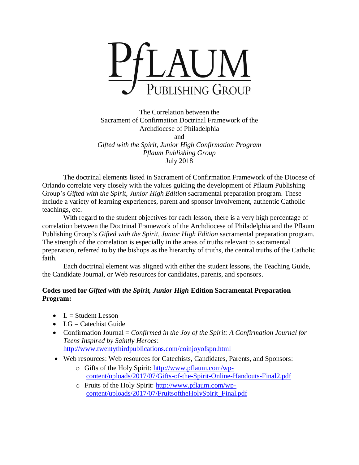

The Correlation between the Sacrament of Confirmation Doctrinal Framework of the Archdiocese of Philadelphia and *Gifted with the Spirit, Junior High Confirmation Program Pflaum Publishing Group* July 2018

The doctrinal elements listed in Sacrament of Confirmation Framework of the Diocese of Orlando correlate very closely with the values guiding the development of Pflaum Publishing Group's *Gifted with the Spirit, Junior High Edition* sacramental preparation program. These include a variety of learning experiences, parent and sponsor involvement, authentic Catholic teachings, etc.

With regard to the student objectives for each lesson, there is a very high percentage of correlation between the Doctrinal Framework of the Archdiocese of Philadelphia and the Pflaum Publishing Group's *Gifted with the Spirit, Junior High Edition* sacramental preparation program. The strength of the correlation is especially in the areas of truths relevant to sacramental preparation, referred to by the bishops as the hierarchy of truths, the central truths of the Catholic faith.

Each doctrinal element was aligned with either the student lessons, the Teaching Guide, the Candidate Journal, or Web resources for candidates, parents, and sponsors.

## **Codes used for** *Gifted with the Spirit, Junior High* **Edition Sacramental Preparation Program:**

- $L =$  Student Lesson
- $LG =$  Catechist Guide
- Confirmation Journal = *Confirmed in the Joy of the Spirit: A Confirmation Journal for Teens Inspired by Saintly Heroes*: <http://www.twentythirdpublications.com/coinjoyofspn.html>
- Web resources: Web resources for Catechists, Candidates, Parents, and Sponsors:
	- o Gifts of the Holy Spirit: [http://www.pflaum.com/wp](http://www.pflaum.com/wp-content/uploads/2017/07/Gifts-of-the-Spirit-Online-Handouts-Final2.pdf)[content/uploads/2017/07/Gifts-of-the-Spirit-Online-Handouts-Final2.pdf](http://www.pflaum.com/wp-content/uploads/2017/07/Gifts-of-the-Spirit-Online-Handouts-Final2.pdf)
	- o Fruits of the Holy Spirit: [http://www.pflaum.com/wp](http://www.pflaum.com/wp-content/uploads/2017/07/FruitsoftheHolySpirit_Final.pdf)[content/uploads/2017/07/FruitsoftheHolySpirit\\_Final.pdf](http://www.pflaum.com/wp-content/uploads/2017/07/FruitsoftheHolySpirit_Final.pdf)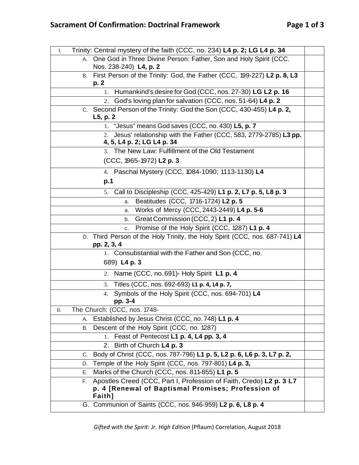| Trinity: Central mystery of the faith (CCC, no. 234) L4 p. 2; LG L4 p. 34<br>Ι.                                                           |  |
|-------------------------------------------------------------------------------------------------------------------------------------------|--|
| One God in Three Divine Person: Father, Son and Holy Spirit (CCC.<br>A.<br>Nos. 238-240) L4, p. 2                                         |  |
| B. First Person of the Trinity: God, the Father (CCC, 199-227) L2 p. 8, L3<br>p. 2                                                        |  |
| 1. Humankind's desire for God (CCC, nos. 27-30) LG L2 p. 16                                                                               |  |
| God's loving plan for salvation (CCC, nos. 51-64) L4 p. 2<br>2.                                                                           |  |
| C. Second Person of the Trinity: God the Son (CCC, 430-455) L4 p. 2,<br>L5, p. 2                                                          |  |
| 1. "Jesus" means God saves (CCC, no. 430) L5, p. 7                                                                                        |  |
| 2. Jesus' relationship with the Father (CCC, 583, 2779-2785) L3 pp.<br>4, 5, L4 p. 2; LG L4 p. 34                                         |  |
| 3. The New Law: Fulfillment of the Old Testament                                                                                          |  |
| (CCC, 1965-1972) L2 p. 3                                                                                                                  |  |
| 4. Paschal Mystery (CCC, 1084-1090; 1113-1130) L4                                                                                         |  |
| p.1                                                                                                                                       |  |
| 5. Call to Discipleship (CCC, 425-429) L1 p. 2, L7 p. 5, L8 p. 3                                                                          |  |
| Beatitudes (CCC, 1716-1724) L2 p. 5<br>a.                                                                                                 |  |
| Works of Mercy (CCC, 2443-2449) L4 p. 5-6<br>а.                                                                                           |  |
| Great Commission (CCC, 2) L1 p. 4<br>b.                                                                                                   |  |
| Promise of the Holy Spirit (CCC, 1287) L1 p. 4<br>C.                                                                                      |  |
| D. Third Person of the Holy Trinity, the Holy Spirit (CCC, nos. 687-741) L4<br>pp. 2, 3, 4                                                |  |
| 1. Consubstantial with the Father and Son (CCC, no.                                                                                       |  |
| 689) L4 p. 3                                                                                                                              |  |
| 2. Name (CCC, no. 691) - Holy Spirit L1 p. 4                                                                                              |  |
| 3. Titles (CCC, nos. 692-693) L1 p. 4, L4 p. 7,                                                                                           |  |
| Symbols of the Holy Spirit (CCC, nos. 694-701) L4<br>4.<br>pp. 3-4                                                                        |  |
| The Church: (CCC, nos. 1748-<br>Ш.                                                                                                        |  |
| Established by Jesus Christ (CCC, no. 748) L1 p. 4<br>А.                                                                                  |  |
| Descent of the Holy Spirit (CCC, no. 1287)<br>В.                                                                                          |  |
| Feast of Pentecost L1 p. 4, L4 pp. 3, 4<br>1.                                                                                             |  |
| 2. Birth of Church L4 p. 3                                                                                                                |  |
| Body of Christ (CCC, nos. 787-796) L1 p. 5, L2 p. 6, L6 p. 3, L7 p. 2,<br>C.                                                              |  |
| Temple of the Holy Spirit (CCC, nos. 797-801) L4 p. 3,<br>D.                                                                              |  |
| Marks of the Church (CCC, nos. 811-855) L1 p. 5<br>Е.                                                                                     |  |
| Apostles Creed (CCC, Part I, Profession of Faith, Credo) L2 p. 3 L7<br>F.<br>p. 4 [Renewal of Baptismal Promises; Profession of<br>Faith] |  |
| G. Communion of Saints (CCC, nos. 946-959) L2 p. 6, L8 p. 4                                                                               |  |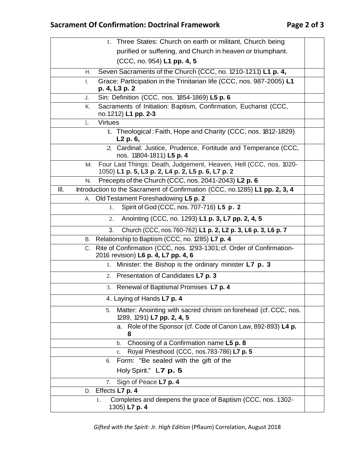| 1. Three States: Church on earth or militant, Church being                                                                   |  |
|------------------------------------------------------------------------------------------------------------------------------|--|
| purified or suffering, and Church in heaven or triumphant.                                                                   |  |
| (CCC, no. 954) L1 pp. 4, 5                                                                                                   |  |
| Seven Sacraments of the Church (CCC, no. 1210-1211) L1 p. 4,<br>Η.                                                           |  |
| Grace: Participation in the Trinitarian life (CCC, nos. 987-2005) L1<br>Ι.                                                   |  |
| p. 4, L3 p. 2                                                                                                                |  |
| Sin: Definition (CCC, nos. 1854-1869) L5 p. 6<br>J.                                                                          |  |
| Sacraments of Initiation: Baptism, Confirmation, Eucharist (CCC,<br>Κ.<br>no.1212) L1 pp. 2-3                                |  |
| <b>Virtues</b><br>L.                                                                                                         |  |
| 1. Theological: Faith, Hope and Charity (CCC, nos. 1812-1829)<br>L2 p. 6,                                                    |  |
| 2. Cardinal: Justice, Prudence, Fortitude and Temperance (CCC,<br>nos. 11804-1811) L5 p. 4                                   |  |
| Four Last Things: Death, Judgement, Heaven, Hell (CCC, nos. 1020-<br>М.<br>1050) L1 p. 5, L3 p. 2, L4 p. 2, L5 p. 6, L7 p. 2 |  |
| Precepts of the Church (CCC, nos. 2041-2043) L2 p. 6<br>N.                                                                   |  |
| Introduction to the Sacrament of Confirmation (CCC, no.1285) L1 pp. 2, 3, 4<br>III.                                          |  |
| Old Testament Foreshadowing L5 p. 2<br>А.                                                                                    |  |
| Spirit of God (CCC, nos. 707-716) L5 p. 2<br>1.                                                                              |  |
| Anointing (CCC, no. 1293) L1 p. 3, L7 pp. 2, 4, 5<br>2.                                                                      |  |
| Church (CCC, nos.760-762) L1 p. 2, L2 p. 3, L6 p. 3, L6 p. 7<br>3.                                                           |  |
| B. Relationship to Baptism (CCC, no. 1285) L7 p. 4                                                                           |  |
| Rite of Confirmation (CCC, nos. 1293-1301; cf. Order of Confirmation-<br>C.<br>2016 revision) L6 p. 4, L7 pp. 4, 6           |  |
| Minister: the Bishop is the ordinary minister L7 p. 3<br>1.                                                                  |  |
| Presentation of Candidates L7 p. 3<br>2.                                                                                     |  |
| Renewal of Baptismal Promises L7 p. 4<br>3.                                                                                  |  |
| 4. Laying of Hands L7 p. 4                                                                                                   |  |
| Matter: Anointing with sacred chrism on forehead (cf. CCC, nos.<br>5.<br>1289, 1291) L7 pp. 2, 4, 5                          |  |
| a. Role of the Sponsor (cf. Code of Canon Law, 892-893) L4 p.<br>8                                                           |  |
| Choosing of a Confirmation name L5 p. 8<br>b.                                                                                |  |
| Royal Priesthood (CCC, nos.783-786) L7 p. 5<br>C.                                                                            |  |
| Form: "Be sealed with the gift of the<br>6.                                                                                  |  |
| Holy Spirit." L7 p. 5                                                                                                        |  |
| Sign of Peace L7 p. 4<br>7.                                                                                                  |  |
| D. Effects L7 p. 4                                                                                                           |  |
| Completes and deepens the grace of Baptism (CCC, nos. 1302-<br>1.<br>1305) L7 p. 4                                           |  |